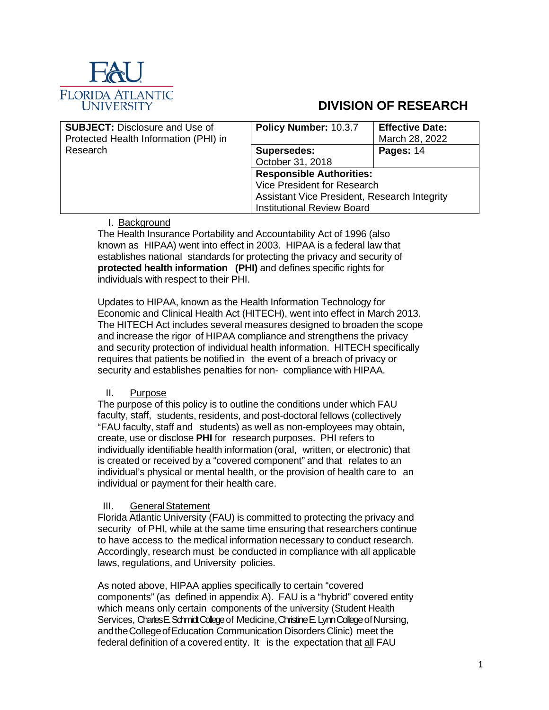

# **DIVISION OF RESEARCH**

| <b>SUBJECT: Disclosure and Use of</b><br>Protected Health Information (PHI) in | Policy Number: 10.3.7                        | <b>Effective Date:</b><br>March 28, 2022 |
|--------------------------------------------------------------------------------|----------------------------------------------|------------------------------------------|
| Research                                                                       | <b>Supersedes:</b>                           | Pages: 14                                |
|                                                                                | October 31, 2018                             |                                          |
|                                                                                | <b>Responsible Authorities:</b>              |                                          |
|                                                                                | Vice President for Research                  |                                          |
|                                                                                | Assistant Vice President, Research Integrity |                                          |
|                                                                                | <b>Institutional Review Board</b>            |                                          |

# I. Background

The Health Insurance Portability and Accountability Act of 1996 (also known as HIPAA) went into effect in 2003. HIPAA is a federal law that establishes national standards for protecting the privacy and security of **protected health information (PHI)** and defines specific rights for individuals with respect to their PHI.

Updates to HIPAA, known as the Health Information Technology for Economic and Clinical Health Act (HITECH), went into effect in March 2013. The HITECH Act includes several measures designed to broaden the scope and increase the rigor of HIPAA compliance and strengthens the privacy and security protection of individual health information. HITECH specifically requires that patients be notified in the event of a breach of privacy or security and establishes penalties for non- compliance with HIPAA.

## II. Purpose

The purpose of this policy is to outline the conditions under which FAU faculty, staff, students, residents, and post-doctoral fellows (collectively "FAU faculty, staff and students) as well as non-employees may obtain, create, use or disclose **PHI** for research purposes. PHI refers to individually identifiable health information (oral, written, or electronic) that is created or received by a "covered component" and that relates to an individual's physical or mental health, or the provision of health care to an individual or payment for their health care.

# III. GeneralStatement

Florida Atlantic University (FAU) is committed to protecting the privacy and security of PHI, while at the same time ensuring that researchers continue to have access to the medical information necessary to conduct research. Accordingly, research must be conducted in compliance with all applicable laws, regulations, and University policies.

As noted above, HIPAA applies specifically to certain "covered components" (as defined in appendix A). FAU is a "hybrid" covered entity which means only certain components of the university (Student Health Services, Charles E. Schmidt College of Medicine, Christine E. Lynn College of Nursing, andtheCollegeofEducation Communication Disorders Clinic) meet the federal definition of a covered entity. It is the expectation that all FAU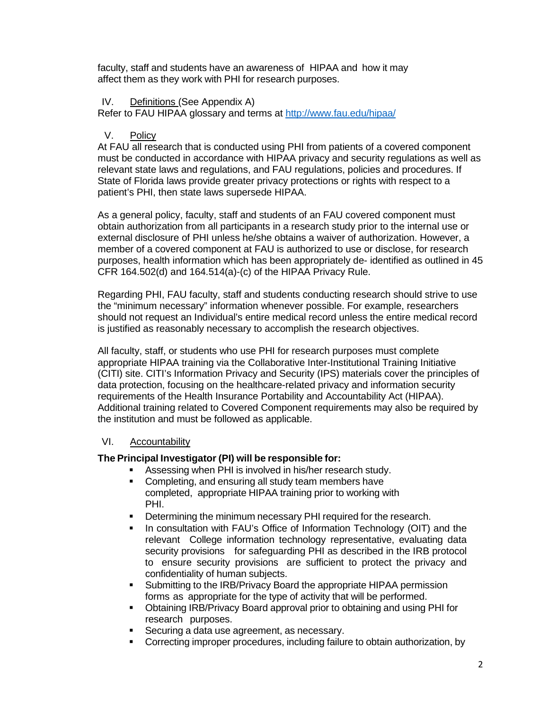faculty, staff and students have an awareness of HIPAA and how it may affect them as they work with PHI for research purposes.

#### IV. Definitions (See Appendix A)

Refer to FAU HIPAA glossary and terms at<http://www.fau.edu/hipaa/>

#### V. Policy

At FAU all research that is conducted using PHI from patients of a covered component must be conducted in accordance with HIPAA privacy and security regulations as well as relevant state laws and regulations, and FAU regulations, policies and procedures. If State of Florida laws provide greater privacy protections or rights with respect to a patient's PHI, then state laws supersede HIPAA.

As a general policy, faculty, staff and students of an FAU covered component must obtain authorization from all participants in a research study prior to the internal use or external disclosure of PHI unless he/she obtains a waiver of authorization. However, a member of a covered component at FAU is authorized to use or disclose, for research purposes, health information which has been appropriately de- identified as outlined in 45 CFR 164.502(d) and 164.514(a)-(c) of the HIPAA Privacy Rule.

Regarding PHI, FAU faculty, staff and students conducting research should strive to use the "minimum necessary" information whenever possible. For example, researchers should not request an Individual's entire medical record unless the entire medical record is justified as reasonably necessary to accomplish the research objectives.

All faculty, staff, or students who use PHI for research purposes must complete appropriate HIPAA training via the Collaborative Inter-Institutional Training Initiative (CITI) site. CITI's Information Privacy and Security (IPS) materials cover the principles of data protection, focusing on the healthcare-related privacy and information security requirements of the Health Insurance Portability and Accountability Act (HIPAA). Additional training related to Covered Component requirements may also be required by the institution and must be followed as applicable.

## VI. Accountability

## **The Principal Investigator (PI) will be responsible for:**

- Assessing when PHI is involved in his/her research study.
- **Completing, and ensuring all study team members have** completed, appropriate HIPAA training prior to working with PHI.
- **•** Determining the minimum necessary PHI required for the research.
- In consultation with FAU's Office of Information Technology (OIT) and the relevant College information technology representative, evaluating data security provisions for safeguarding PHI as described in the IRB protocol to ensure security provisions are sufficient to protect the privacy and confidentiality of human subjects.
- Submitting to the IRB/Privacy Board the appropriate HIPAA permission forms as appropriate for the type of activity that will be performed.
- Obtaining IRB/Privacy Board approval prior to obtaining and using PHI for research purposes.
- Securing a data use agreement, as necessary.
- Correcting improper procedures, including failure to obtain authorization, by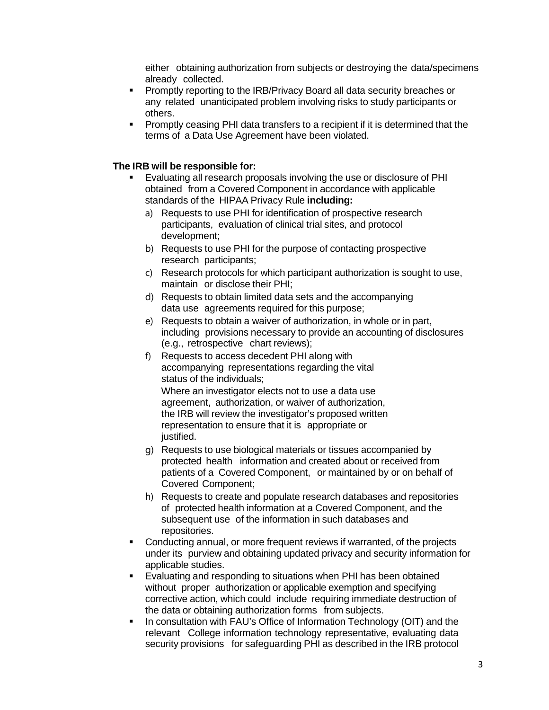either obtaining authorization from subjects or destroying the data/specimens already collected.

- **Promptly reporting to the IRB/Privacy Board all data security breaches or** any related unanticipated problem involving risks to study participants or others.
- Promptly ceasing PHI data transfers to a recipient if it is determined that the terms of a Data Use Agreement have been violated.

#### **The IRB will be responsible for:**

- Evaluating all research proposals involving the use or disclosure of PHI obtained from a Covered Component in accordance with applicable standards of the HIPAA Privacy Rule **including:**
	- a) Requests to use PHI for identification of prospective research participants, evaluation of clinical trial sites, and protocol development;
	- b) Requests to use PHI for the purpose of contacting prospective research participants;
	- c) Research protocols for which participant authorization is sought to use, maintain or disclose their PHI;
	- d) Requests to obtain limited data sets and the accompanying data use agreements required for this purpose;
	- e) Requests to obtain a waiver of authorization, in whole or in part, including provisions necessary to provide an accounting of disclosures (e.g., retrospective chart reviews);
	- f) Requests to access decedent PHI along with accompanying representations regarding the vital status of the individuals; Where an investigator elects not to use a data use agreement, authorization, or waiver of authorization, the IRB will review the investigator's proposed written representation to ensure that it is appropriate or justified.
	- g) Requests to use biological materials or tissues accompanied by protected health information and created about or received from patients of a Covered Component, or maintained by or on behalf of Covered Component;
	- h) Requests to create and populate research databases and repositories of protected health information at a Covered Component, and the subsequent use of the information in such databases and repositories.
- Conducting annual, or more frequent reviews if warranted, of the projects under its purview and obtaining updated privacy and security information for applicable studies.
- Evaluating and responding to situations when PHI has been obtained without proper authorization or applicable exemption and specifying corrective action, which could include requiring immediate destruction of the data or obtaining authorization forms from subjects.
- In consultation with FAU's Office of Information Technology (OIT) and the relevant College information technology representative, evaluating data security provisions for safeguarding PHI as described in the IRB protocol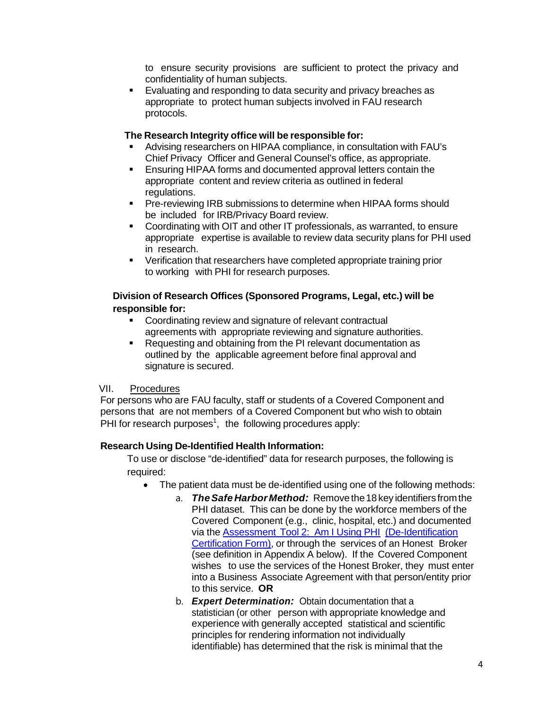to ensure security provisions are sufficient to protect the privacy and confidentiality of human subjects.

**Evaluating and responding to data security and privacy breaches as** appropriate to protect human subjects involved in FAU research protocols.

#### **The Research Integrity office will be responsible for:**

- Advising researchers on HIPAA compliance, in consultation with FAU's Chief Privacy Officer and General Counsel's office, as appropriate.
- Ensuring HIPAA forms and documented approval letters contain the appropriate content and review criteria as outlined in federal regulations.
- **Pre-reviewing IRB submissions to determine when HIPAA forms should** be included for IRB/Privacy Board review.
- Coordinating with OIT and other IT professionals, as warranted, to ensure appropriate expertise is available to review data security plans for PHI used in research.
- Verification that researchers have completed appropriate training prior to working with PHI for research purposes.

#### **Division of Research Offices (Sponsored Programs, Legal, etc.) will be responsible for:**

- **Coordinating review and signature of relevant contractual** agreements with appropriate reviewing and signature authorities.
- Requesting and obtaining from the PI relevant documentation as outlined by the applicable agreement before final approval and signature is secured.

#### VII. Procedures

For persons who are FAU faculty, staff or students of a Covered Component and persons that are not members of a Covered Component but who wish to obtain PHI for research purposes<sup>1</sup>, the following procedures apply:

## **Research Using De-Identified Health Information:**

To use or disclose "de-identified" data for research purposes, the following is required:

- The patient data must be de-identified using one of the following methods:
	- a. *TheSafeHarbor Method:* Removethe18key identifiers fromthe PHI dataset. This can be done by the workforce members of the Covered Component (e.g., clinic, hospital, etc.) and documented via the Assessment Tool 2: Am I Using PHI (De-Identification Certification Form), or through the services of an Honest Broker (see definition in Appendix A below). If the Covered Component wishes to use the services of the Honest Broker, they must enter into a Business Associate Agreement with that person/entity prior to this service. **OR**
	- b. *Expert Determination:* Obtain documentation that a statistician (or other person with appropriate knowledge and experience with generally accepted statistical and scientific principles for rendering information not individually identifiable) has determined that the risk is minimal that the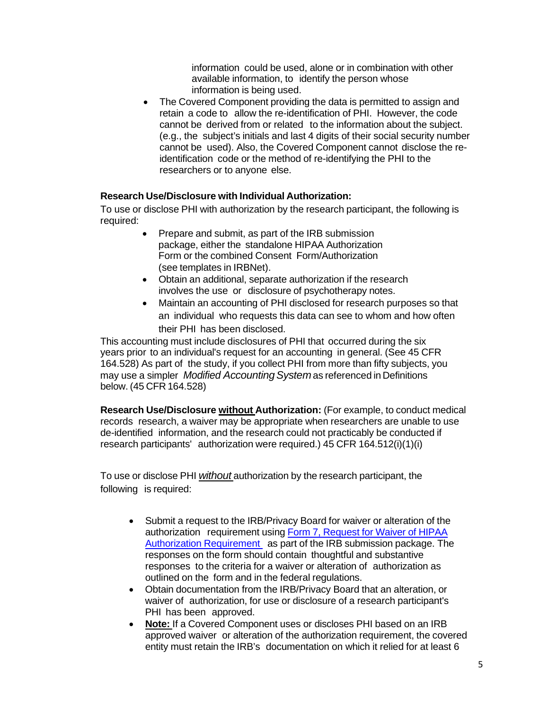information could be used, alone or in combination with other available information, to identify the person whose information is being used.

The Covered Component providing the data is permitted to assign and retain a code to allow the re-identification of PHI. However, the code cannot be derived from or related to the information about the subject. (e.g., the subject's initials and last 4 digits of their social security number cannot be used). Also, the Covered Component cannot disclose the reidentification code or the method of re-identifying the PHI to the researchers or to anyone else.

#### **Research Use/Disclosure with Individual Authorization:**

To use or disclose PHI with authorization by the research participant, the following is required:

- Prepare and submit, as part of the IRB submission package, either the standalone HIPAA Authorization Form or the combined Consent Form/Authorization (see templates in IRBNet).
- Obtain an additional, separate authorization if the research involves the use or disclosure of psychotherapy notes.
- Maintain an accounting of PHI disclosed for research purposes so that an individual who requests this data can see to whom and how often their PHI has been disclosed.

This accounting must include disclosures of PHI that occurred during the six years prior to an individual's request for an accounting in general. (See 45 CFR 164.528) As part of the study, if you collect PHI from more than fifty subjects, you may use a simpler *Modified AccountingSystem*as referenced in Definitions below. (45 CFR 164.528)

**Research Use/Disclosure without Authorization:** (For example, to conduct medical records research, a waiver may be appropriate when researchers are unable to use de-identified information, and the research could not practicably be conducted if research participants' authorization were required.) 45 CFR 164.512(i)(1)(i)

To use or disclose PHI *without* authorization by the research participant, the following is required:

- Submit a request to the IRB/Privacy Board for waiver or alteration of the authorization requirement using Form 7, Request for Waiver of HIPAA Authorization Requirement as part of the IRB submission package. The responses on the form should contain thoughtful and substantive responses to the criteria for a waiver or alteration of authorization as outlined on the form and in the federal regulations.
- Obtain documentation from the IRB/Privacy Board that an alteration, or waiver of authorization, for use or disclosure of a research participant's PHI has been approved.
- **Note:** If a Covered Component uses or discloses PHI based on an IRB approved waiver or alteration of the authorization requirement, the covered entity must retain the IRB's documentation on which it relied for at least 6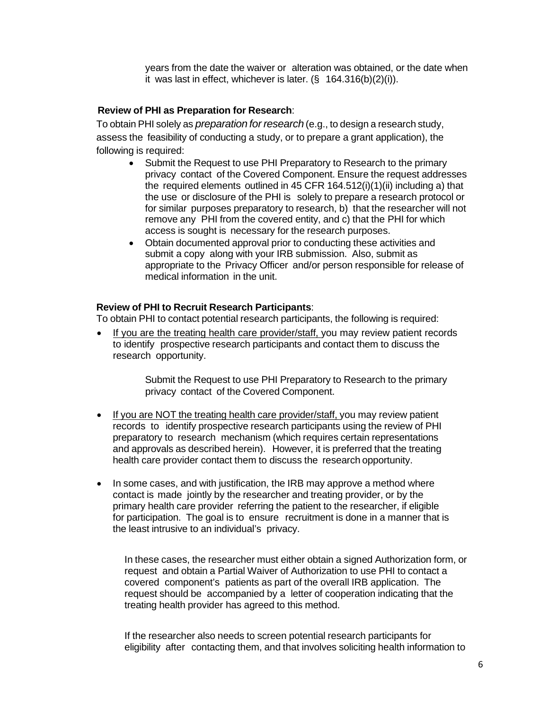years from the date the waiver or alteration was obtained, or the date when it was last in effect, whichever is later. (§ 164.316(b)(2)(i)).

#### **Review of PHI as Preparation for Research**:

To obtain PHI solely as *preparation for research* (e.g., to design a research study, assess the feasibility of conducting a study, or to prepare a grant application), the following is required:

- Submit the Request to use PHI Preparatory to Research to the primary privacy contact of the Covered Component. Ensure the request addresses the required elements outlined in 45 CFR 164.512(i)(1)(ii) including a) that the use or disclosure of the PHI is solely to prepare a research protocol or for similar purposes preparatory to research, b) that the researcher will not remove any PHI from the covered entity, and c) that the PHI for which access is sought is necessary for the research purposes.
- Obtain documented approval prior to conducting these activities and submit a copy along with your IRB submission. Also, submit as appropriate to the Privacy Officer and/or person responsible for release of medical information in the unit.

#### **Review of PHI to Recruit Research Participants**:

To obtain PHI to contact potential research participants, the following is required:

• If you are the treating health care provider/staff, you may review patient records to identify prospective research participants and contact them to discuss the research opportunity.

> Submit the Request to use PHI Preparatory to Research to the primary privacy contact of the Covered Component.

- If you are NOT the treating health care provider/staff, you may review patient records to identify prospective research participants using the review of PHI preparatory to research mechanism (which requires certain representations and approvals as described herein). However, it is preferred that the treating health care provider contact them to discuss the research opportunity.
- In some cases, and with justification, the IRB may approve a method where contact is made jointly by the researcher and treating provider, or by the primary health care provider referring the patient to the researcher, if eligible for participation. The goal is to ensure recruitment is done in a manner that is the least intrusive to an individual's privacy.

In these cases, the researcher must either obtain a signed Authorization form, or request and obtain a Partial Waiver of Authorization to use PHI to contact a covered component's patients as part of the overall IRB application. The request should be accompanied by a letter of cooperation indicating that the treating health provider has agreed to this method.

If the researcher also needs to screen potential research participants for eligibility after contacting them, and that involves soliciting health information to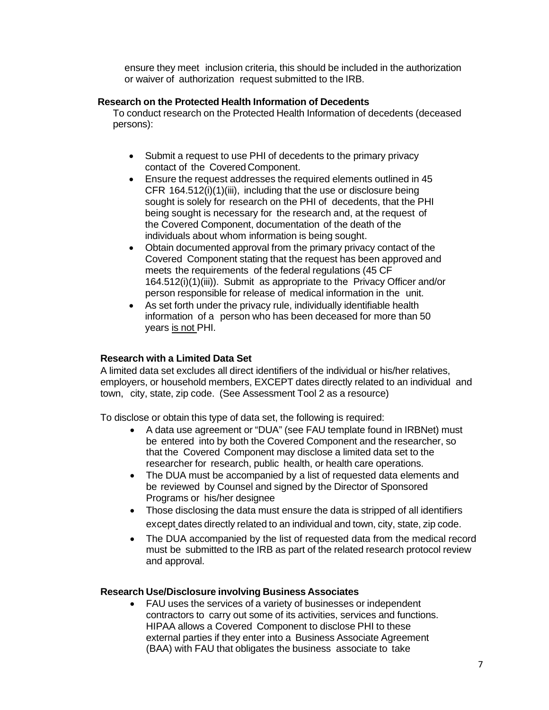ensure they meet inclusion criteria, this should be included in the authorization or waiver of authorization request submitted to the IRB.

#### **Research on the Protected Health Information of Decedents**

To conduct research on the Protected Health Information of decedents (deceased persons):

- Submit a request to use PHI of decedents to the primary privacy contact of the Covered Component.
- Ensure the request addresses the required elements outlined in 45 CFR 164.512(i)(1)(iii), including that the use or disclosure being sought is solely for research on the PHI of decedents, that the PHI being sought is necessary for the research and, at the request of the Covered Component, documentation of the death of the individuals about whom information is being sought.
- Obtain documented approval from the primary privacy contact of the Covered Component stating that the request has been approved and meets the requirements of the federal regulations (45 CF 164.512(i)(1)(iii)). Submit as appropriate to the Privacy Officer and/or person responsible for release of medical information in the unit.
- As set forth under the privacy rule, individually identifiable health information of a person who has been deceased for more than 50 years is not PHI.

#### **Research with a Limited Data Set**

A limited data set excludes all direct identifiers of the individual or his/her relatives, employers, or household members, EXCEPT dates directly related to an individual and town, city, state, zip code. (See Assessment Tool 2 as a resource)

To disclose or obtain this type of data set, the following is required:

- A data use agreement or "DUA" (see FAU template found in IRBNet) must be entered into by both the Covered Component and the researcher, so that the Covered Component may disclose a limited data set to the researcher for research, public health, or health care operations.
- The DUA must be accompanied by a list of requested data elements and be reviewed by Counsel and signed by the Director of Sponsored Programs or his/her designee
- Those disclosing the data must ensure the data is stripped of all identifiers except dates directly related to an individual and town, city, state, zip code.
- The DUA accompanied by the list of requested data from the medical record must be submitted to the IRB as part of the related research protocol review and approval.

#### **Research Use/Disclosure involving Business Associates**

• FAU uses the services of a variety of businesses or independent contractors to carry out some of its activities, services and functions. HIPAA allows a Covered Component to disclose PHI to these external parties if they enter into a Business Associate Agreement (BAA) with FAU that obligates the business associate to take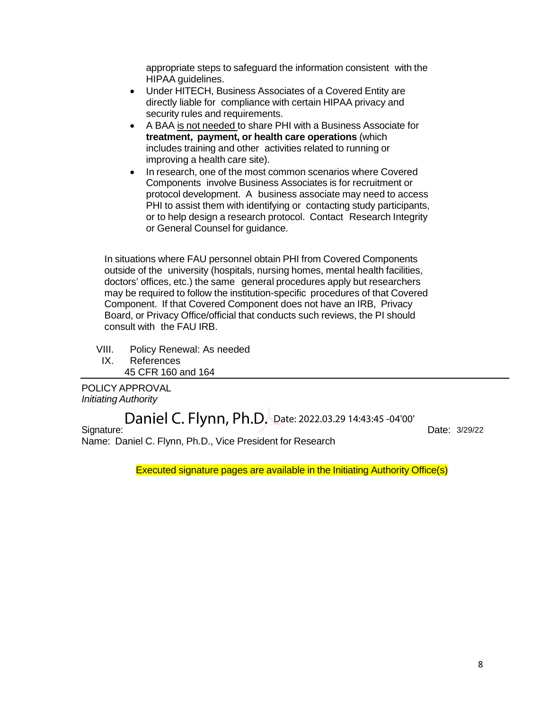appropriate steps to safeguard the information consistent with the HIPAA guidelines.

- Under HITECH, Business Associates of a Covered Entity are directly liable for compliance with certain HIPAA privacy and security rules and requirements.
- A BAA is not needed to share PHI with a Business Associate for **treatment, payment, or health care operations** (which includes training and other activities related to running or improving a health care site).
- In research, one of the most common scenarios where Covered Components involve Business Associates is for recruitment or protocol development. A business associate may need to access PHI to assist them with identifying or contacting study participants, or to help design a research protocol. Contact Research Integrity or General Counsel for guidance.

In situations where FAU personnel obtain PHI from Covered Components outside of the university (hospitals, nursing homes, mental health facilities, doctors' offices, etc.) the same general procedures apply but researchers may be required to follow the institution-specific procedures of that Covered Component. If that Covered Component does not have an IRB, Privacy Board, or Privacy Office/official that conducts such reviews, the PI should consult with the FAU IRB.

VIII. Policy Renewal: As needed

IX. References 45 CFR 160 and 164

POLICY APPROVAL *Initiating Authority*

Signature: Contract of the Contract of the Contract of the Date: Name: Daniel C. Flynn, Ph.D., Vice President for Research Daniel C. Flynn, Ph.D. Date: 2022.03.29 14:43:45 -04'00'

Date: 3/29/22

Executed signature pages are available in the Initiating Authority Office(s)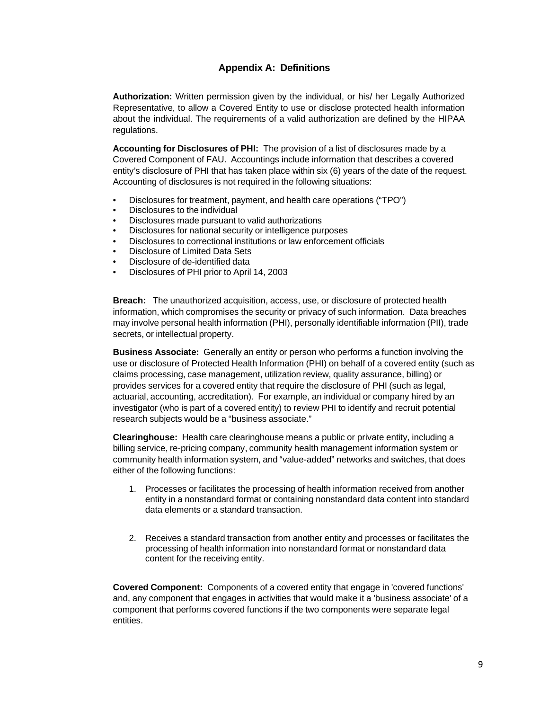## **Appendix A: Definitions**

**Authorization:** Written permission given by the individual, or his/ her Legally Authorized Representative, to allow a Covered Entity to use or disclose protected health information about the individual. The requirements of a valid authorization are defined by the HIPAA regulations.

**Accounting for Disclosures of PHI:** The provision of a list of disclosures made by a Covered Component of FAU. Accountings include information that describes a covered entity's disclosure of PHI that has taken place within six (6) years of the date of the request. Accounting of disclosures is not required in the following situations:

- Disclosures for treatment, payment, and health care operations ("TPO")
- Disclosures to the individual
- Disclosures made pursuant to valid authorizations
- Disclosures for national security or intelligence purposes
- Disclosures to correctional institutions or law enforcement officials
- Disclosure of Limited Data Sets
- Disclosure of de-identified data
- Disclosures of PHI prior to April 14, 2003

**Breach:** The unauthorized acquisition, access, use, or disclosure of protected health information, which compromises the security or privacy of such information. Data breaches may involve personal health information (PHI), personally identifiable information (PII), trade secrets, or intellectual property.

**Business Associate:** Generally an entity or person who performs a function involving the use or disclosure of Protected Health Information (PHI) on behalf of a covered entity (such as claims processing, case management, utilization review, quality assurance, billing) or provides services for a covered entity that require the disclosure of PHI (such as legal, actuarial, accounting, accreditation). For example, an individual or company hired by an investigator (who is part of a covered entity) to review PHI to identify and recruit potential research subjects would be a "business associate."

**Clearinghouse:** Health care clearinghouse means a public or private entity, including a billing service, re-pricing company, community health management information system or community health information system, and "value-added" networks and switches, that does either of the following functions:

- 1. Processes or facilitates the processing of health information received from another entity in a nonstandard format or containing nonstandard data content into standard data elements or a standard transaction.
- 2. Receives a standard transaction from another entity and processes or facilitates the processing of health information into nonstandard format or nonstandard data content for the receiving entity.

**Covered Component:** Components of a covered entity that engage in 'covered functions' and, any component that engages in activities that would make it a 'business associate' of a component that performs covered functions if the two components were separate legal entities.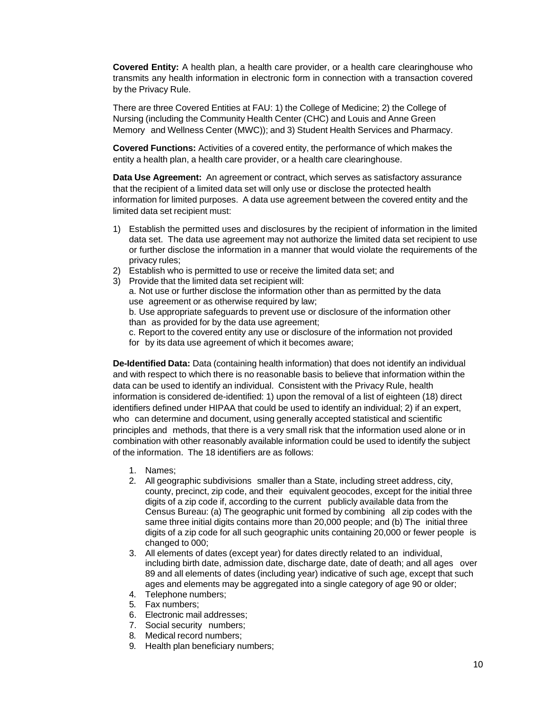**Covered Entity:** A health plan, a health care provider, or a health care clearinghouse who transmits any health information in electronic form in connection with a transaction covered by the Privacy Rule.

There are three Covered Entities at FAU: 1) the College of Medicine; 2) the College of Nursing (including the Community Health Center (CHC) and Louis and Anne Green Memory and Wellness Center (MWC)); and 3) Student Health Services and Pharmacy.

**Covered Functions:** Activities of a covered entity, the performance of which makes the entity a health plan, a health care provider, or a health care clearinghouse.

**Data Use Agreement:** An agreement or contract, which serves as satisfactory assurance that the recipient of a limited data set will only use or disclose the protected health information for limited purposes. A data use agreement between the covered entity and the limited data set recipient must:

- 1) Establish the permitted uses and disclosures by the recipient of information in the limited data set. The data use agreement may not authorize the limited data set recipient to use or further disclose the information in a manner that would violate the requirements of the privacy rules;
- 2) Establish who is permitted to use or receive the limited data set; and
- 3) Provide that the limited data set recipient will:

a. Not use or further disclose the information other than as permitted by the data use agreement or as otherwise required by law;

b. Use appropriate safeguards to prevent use or disclosure of the information other than as provided for by the data use agreement;

c. Report to the covered entity any use or disclosure of the information not provided for by its data use agreement of which it becomes aware;

**De-Identified Data:** Data (containing health information) that does not identify an individual and with respect to which there is no reasonable basis to believe that information within the data can be used to identify an individual. Consistent with the Privacy Rule, health information is considered de-identified: 1) upon the removal of a list of eighteen (18) direct identifiers defined under HIPAA that could be used to identify an individual; 2) if an expert, who can determine and document, using generally accepted statistical and scientific principles and methods, that there is a very small risk that the information used alone or in combination with other reasonably available information could be used to identify the subject of the information. The 18 identifiers are as follows:

- 1. Names;
- 2. All geographic subdivisions smaller than a State, including street address, city, county, precinct, zip code, and their equivalent geocodes, except for the initial three digits of a zip code if, according to the current publicly available data from the Census Bureau: (a) The geographic unit formed by combining all zip codes with the same three initial digits contains more than 20,000 people; and (b) The initial three digits of a zip code for all such geographic units containing 20,000 or fewer people is changed to 000;
- 3. All elements of dates (except year) for dates directly related to an individual, including birth date, admission date, discharge date, date of death; and all ages over 89 and all elements of dates (including year) indicative of such age, except that such ages and elements may be aggregated into a single category of age 90 or older;
- 4. Telephone numbers;
- 5. Fax numbers;
- 6. Electronic mail addresses;
- 7. Social security numbers;
- 8. Medical record numbers;
- 9. Health plan beneficiary numbers;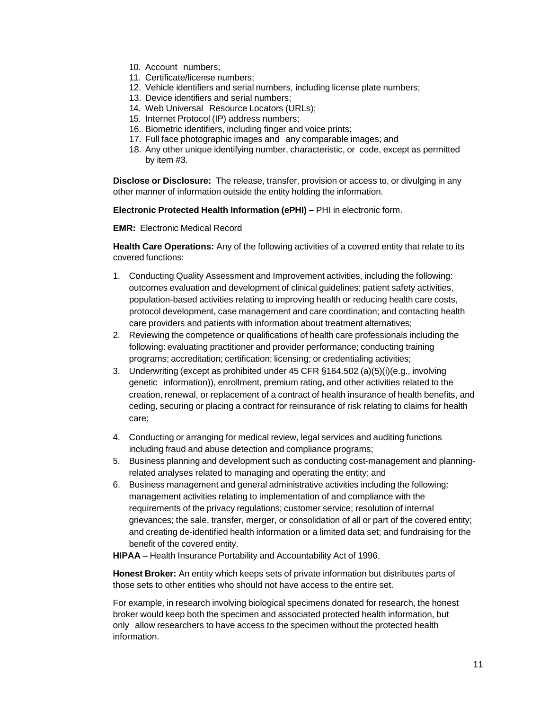- 10. Account numbers;
- 11. Certificate/license numbers;
- 12. Vehicle identifiers and serial numbers, including license plate numbers;
- 13. Device identifiers and serial numbers;
- 14. Web Universal Resource Locators (URLs);
- 15. Internet Protocol (IP) address numbers;
- 16. Biometric identifiers, including finger and voice prints;
- 17. Full face photographic images and any comparable images; and
- 18. Any other unique identifying number, characteristic, or code, except as permitted by item #3.

**Disclose or Disclosure:** The release, transfer, provision or access to, or divulging in any other manner of information outside the entity holding the information.

**Electronic Protected Health Information (ePHI) –** PHI in electronic form.

**EMR:** Electronic Medical Record

**Health Care Operations:** Any of the following activities of a covered entity that relate to its covered functions:

- 1. Conducting Quality Assessment and Improvement activities, including the following: outcomes evaluation and development of clinical guidelines; patient safety activities, population-based activities relating to improving health or reducing health care costs, protocol development, case management and care coordination; and contacting health care providers and patients with information about treatment alternatives;
- 2. Reviewing the competence or qualifications of health care professionals including the following: evaluating practitioner and provider performance; conducting training programs; accreditation; certification; licensing; or credentialing activities;
- 3. Underwriting (except as prohibited under 45 CFR §164.502 (a)(5)(i)(e.g., involving genetic information)), enrollment, premium rating, and other activities related to the creation, renewal, or replacement of a contract of health insurance of health benefits, and ceding, securing or placing a contract for reinsurance of risk relating to claims for health care;
- 4. Conducting or arranging for medical review, legal services and auditing functions including fraud and abuse detection and compliance programs;
- 5. Business planning and development such as conducting cost-management and planningrelated analyses related to managing and operating the entity; and
- 6. Business management and general administrative activities including the following: management activities relating to implementation of and compliance with the requirements of the privacy regulations; customer service; resolution of internal grievances; the sale, transfer, merger, or consolidation of all or part of the covered entity; and creating de-identified health information or a limited data set; and fundraising for the benefit of the covered entity.

**HIPAA** – Health Insurance Portability and Accountability Act of 1996.

**Honest Broker:** An entity which keeps sets of private information but distributes parts of those sets to other entities who should not have access to the entire set.

For example, in research involving biological specimens donated for research, the honest broker would keep both the specimen and associated protected health information, but only allow researchers to have access to the specimen without the protected health information.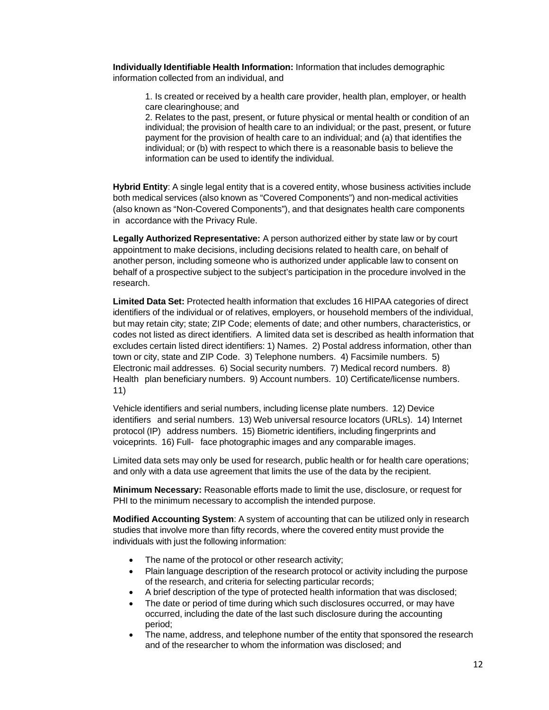**Individually Identifiable Health Information:** Information that includes demographic information collected from an individual, and

1. Is created or received by a health care provider, health plan, employer, or health care clearinghouse; and

2. Relates to the past, present, or future physical or mental health or condition of an individual; the provision of health care to an individual; or the past, present, or future payment for the provision of health care to an individual; and (a) that identifies the individual; or (b) with respect to which there is a reasonable basis to believe the information can be used to identify the individual.

**Hybrid Entity**: A single legal entity that is a covered entity, whose business activities include both medical services (also known as "Covered Components") and non-medical activities (also known as "Non-Covered Components"), and that designates health care components in accordance with the Privacy Rule.

**Legally Authorized Representative:** A person authorized either by state law or by court appointment to make decisions, including decisions related to health care, on behalf of another person, including someone who is authorized under applicable law to consent on behalf of a prospective subject to the subject's participation in the procedure involved in the research.

**Limited Data Set:** Protected health information that excludes 16 HIPAA categories of direct identifiers of the individual or of relatives, employers, or household members of the individual, but may retain city; state; ZIP Code; elements of date; and other numbers, characteristics, or codes not listed as direct identifiers. A limited data set is described as health information that excludes certain listed direct identifiers: 1) Names. 2) Postal address information, other than town or city, state and ZIP Code. 3) Telephone numbers. 4) Facsimile numbers. 5) Electronic mail addresses. 6) Social security numbers. 7) Medical record numbers. 8) Health plan beneficiary numbers. 9) Account numbers. 10) Certificate/license numbers. 11)

Vehicle identifiers and serial numbers, including license plate numbers. 12) Device identifiers and serial numbers. 13) Web universal resource locators (URLs). 14) Internet protocol (IP) address numbers. 15) Biometric identifiers, including fingerprints and voiceprints. 16) Full- face photographic images and any comparable images.

Limited data sets may only be used for research, public health or for health care operations; and only with a data use agreement that limits the use of the data by the recipient.

**Minimum Necessary:** Reasonable efforts made to limit the use, disclosure, or request for PHI to the minimum necessary to accomplish the intended purpose.

**Modified Accounting System**: A system of accounting that can be utilized only in research studies that involve more than fifty records, where the covered entity must provide the individuals with just the following information:

- The name of the protocol or other research activity;
- Plain language description of the research protocol or activity including the purpose of the research, and criteria for selecting particular records;
- A brief description of the type of protected health information that was disclosed;
- The date or period of time during which such disclosures occurred, or may have occurred, including the date of the last such disclosure during the accounting period;
- The name, address, and telephone number of the entity that sponsored the research and of the researcher to whom the information was disclosed; and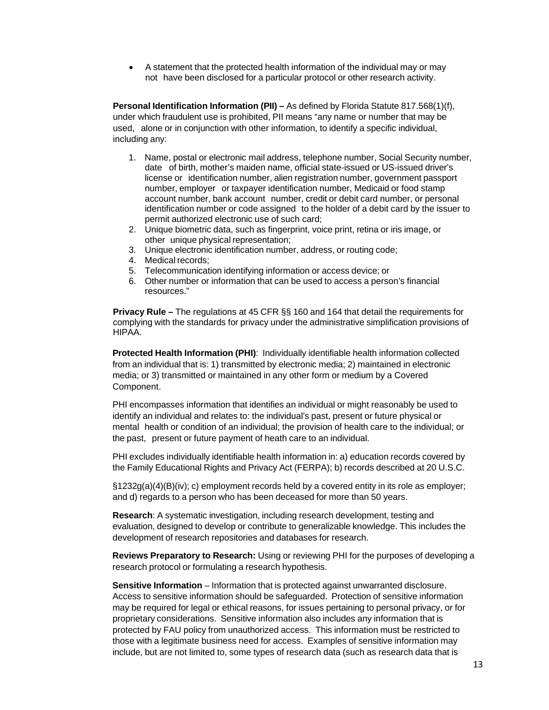• A statement that the protected health information of the individual may or may not have been disclosed for a particular protocol or other research activity.

**Personal Identification Information (PII) –** As defined by Florida Statute 817.568(1)(f), under which fraudulent use is prohibited, PII means "any name or number that may be used, alone or in conjunction with other information, to identify a specific individual, including any:

- 1. Name, postal or electronic mail address, telephone number, Social Security number, date of birth, mother's maiden name, official state-issued or US-issued driver's license or identification number, alien registration number, government passport number, employer or taxpayer identification number, Medicaid or food stamp account number, bank account number, credit or debit card number, or personal identification number or code assigned to the holder of a debit card by the issuer to permit authorized electronic use of such card;
- 2. Unique biometric data, such as fingerprint, voice print, retina or iris image, or other unique physical representation;
- 3. Unique electronic identification number, address, or routing code;
- 4. Medical records;
- 5. Telecommunication identifying information or access device; or
- 6. Other number or information that can be used to access a person's financial resources."

**Privacy Rule –** The regulations at 45 CFR §§ 160 and 164 that detail the requirements for complying with the standards for privacy under the administrative simplification provisions of HIPAA.

**Protected Health Information (PHI)**: Individually identifiable health information collected from an individual that is: 1) transmitted by electronic media; 2) maintained in electronic media; or 3) transmitted or maintained in any other form or medium by a Covered Component.

PHI encompasses information that identifies an individual or might reasonably be used to identify an individual and relates to: the individual's past, present or future physical or mental health or condition of an individual; the provision of health care to the individual; or the past, present or future payment of heath care to an individual.

PHI excludes individually identifiable health information in: a) education records covered by the Family Educational Rights and Privacy Act (FERPA); b) records described at 20 U.S.C.

§1232g(a)(4)(B)(iv); c) employment records held by a covered entity in its role as employer; and d) regards to a person who has been deceased for more than 50 years.

**Research**: A systematic investigation, including research development, testing and evaluation, designed to develop or contribute to generalizable knowledge. This includes the development of research repositories and databases for research.

**Reviews Preparatory to Research:** Using or reviewing PHI for the purposes of developing a research protocol or formulating a research hypothesis.

**Sensitive Information** – Information that is protected against unwarranted disclosure. Access to sensitive information should be safeguarded. Protection of sensitive information may be required for legal or ethical reasons, for issues pertaining to personal privacy, or for proprietary considerations. Sensitive information also includes any information that is protected by FAU policy from unauthorized access. This information must be restricted to those with a legitimate business need for access. Examples of sensitive information may include, but are not limited to, some types of research data (such as research data that is